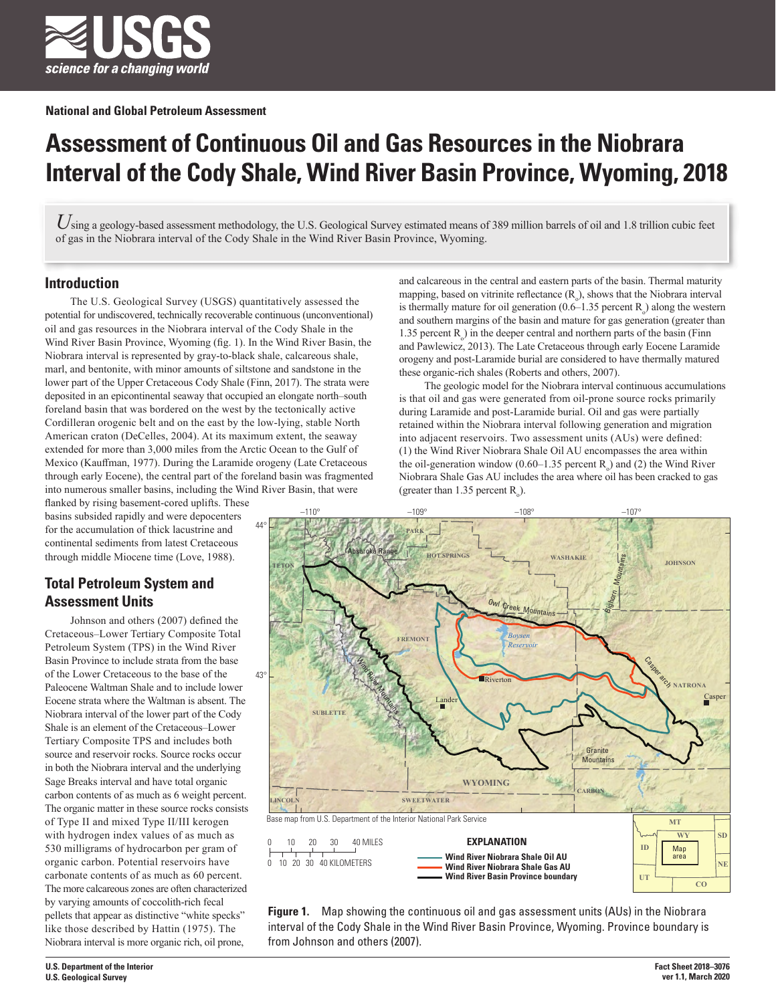

# **Assessment of Continuous Oil and Gas Resources in the Niobrara Interval of the Cody Shale, Wind River Basin Province, Wyoming, 2018**

 $U$ sing a geology-based assessment methodology, the U.S. Geological Survey estimated means of 389 million barrels of oil and 1.8 trillion cubic feet of gas in the Niobrara interval of the Cody Shale in the Wind River Basin Province, Wyoming.

## **Introduction**

The U.S. Geological Survey (USGS) quantitatively assessed the potential for undiscovered, technically recoverable continuous (unconventional) oil and gas resources in the Niobrara interval of the Cody Shale in the Wind River Basin Province, Wyoming (fig. 1). In the Wind River Basin, the Niobrara interval is represented by gray-to-black shale, calcareous shale, marl, and bentonite, with minor amounts of siltstone and sandstone in the lower part of the Upper Cretaceous Cody Shale (Finn, 2017). The strata were deposited in an epicontinental seaway that occupied an elongate north–south foreland basin that was bordered on the west by the tectonically active Cordilleran orogenic belt and on the east by the low-lying, stable North American craton (DeCelles, 2004). At its maximum extent, the seaway extended for more than 3,000 miles from the Arctic Ocean to the Gulf of Mexico (Kauffman, 1977). During the Laramide orogeny (Late Cretaceous through early Eocene), the central part of the foreland basin was fragmented into numerous smaller basins, including the Wind River Basin, that were

flanked by rising basement-cored uplifts. These basins subsided rapidly and were depocenters for the accumulation of thick lacustrine and continental sediments from latest Cretaceous through middle Miocene time (Love, 1988).

# **Total Petroleum System and Assessment Units**

Johnson and others (2007) defined the Cretaceous–Lower Tertiary Composite Total Petroleum System (TPS) in the Wind River Basin Province to include strata from the base of the Lower Cretaceous to the base of the Paleocene Waltman Shale and to include lower Eocene strata where the Waltman is absent. The Niobrara interval of the lower part of the Cody Shale is an element of the Cretaceous–Lower Tertiary Composite TPS and includes both source and reservoir rocks. Source rocks occur in both the Niobrara interval and the underlying Sage Breaks interval and have total organic carbon contents of as much as 6 weight percent. The organic matter in these source rocks consists of Type II and mixed Type II/III kerogen with hydrogen index values of as much as 530 milligrams of hydrocarbon per gram of organic carbon. Potential reservoirs have carbonate contents of as much as 60 percent. The more calcareous zones are often characterized by varying amounts of coccolith-rich fecal pellets that appear as distinctive "white specks" like those described by Hattin (1975). The Niobrara interval is more organic rich, oil prone,

and calcareous in the central and eastern parts of the basin. Thermal maturity mapping, based on vitrinite reflectance  $(R_0)$ , shows that the Niobrara interval is thermally mature for oil generation  $(0.6-1.35$  percent  $R_0$ ) along the western and southern margins of the basin and mature for gas generation (greater than 1.35 percent  $R_0$ ) in the deeper central and northern parts of the basin (Finn and Pawlewicz, 2013). The Late Cretaceous through early Eocene Laramide orogeny and post-Laramide burial are considered to have thermally matured these organic-rich shales (Roberts and others, 2007).

The geologic model for the Niobrara interval continuous accumulations is that oil and gas were generated from oil-prone source rocks primarily during Laramide and post-Laramide burial. Oil and gas were partially retained within the Niobrara interval following generation and migration into adjacent reservoirs. Two assessment units (AUs) were defined: (1) the Wind River Niobrara Shale Oil AU encompasses the area within the oil-generation window (0.60–1.35 percent  $R_0$ ) and (2) the Wind River Niobrara Shale Gas AU includes the area where oil has been cracked to gas (greater than  $1.35$  percent  $R_0$ ).



**Figure 1.** Map showing the continuous oil and gas assessment units (AUs) in the Niobrara interval of the Cody Shale in the Wind River Basin Province, Wyoming. Province boundary is from Johnson and others (2007).